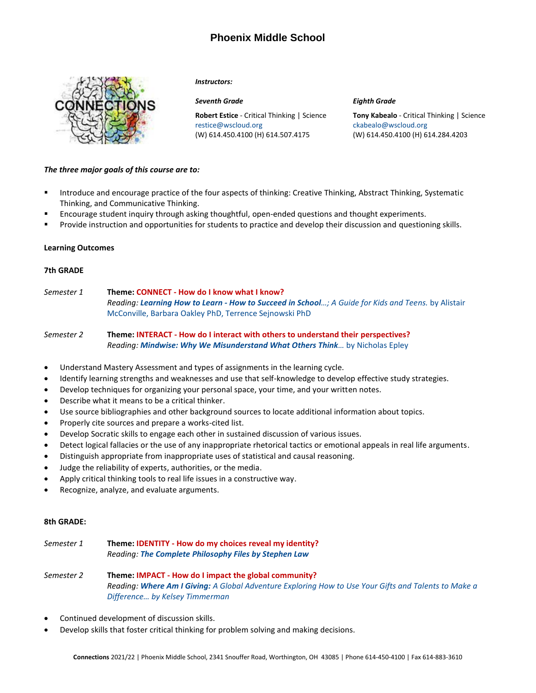# **Phoenix Middle School**



#### *Instructors:*

**Robert Estice** - Critical Thinking | Science [restice@wscloud.org](mailto:restice@wscloud.org) (W) 614.450.4100 (H) 614.507.4175

#### *Seventh Grade Eighth Grade*

**Tony Kabealo** - Critical Thinking | Science [ckabealo@wscloud.org](mailto:ckabealo@wscloud.org) (W) 614.450.4100 (H) 614.284.4203

### *The three major goals of this course are to:*

- **■** Introduce and encourage practice of the four aspects of thinking: Creative Thinking, Abstract Thinking, Systematic Thinking, and Communicative Thinking.
- Encourage student inquiry through asking thoughtful, open-ended questions and thought experiments.
- Provide instruction and opportunities for students to practice and develop their discussion and questioning skills.

#### **Learning Outcomes**

### **7th GRADE**

*Semester 1* **Theme: CONNECT - How do I know what I know?** *Reading: Learning How to Learn - How to Succeed in School…[; A Guide for Kids and Teens.](https://www.amazon.com/Learning-How-Learn-Spending-Studying-ebook/dp/B077CRLW9Q/ref=sr_1_1?dchild=1&keywords=Learning+How+to+Learn%3A+How+to+Succeed+in+School+Without+Spending+All+Your+Time+Studying%3B+A+Guide+for+Kids+and+Teens&qid=1588011296&sr=8-1)* by Alistair [McConville, Barbara Oakley PhD, Terrence Sejnowski PhD](https://www.amazon.com/Learning-How-Learn-Spending-Studying-ebook/dp/B077CRLW9Q/ref=sr_1_1?dchild=1&keywords=Learning+How+to+Learn%3A+How+to+Succeed+in+School+Without+Spending+All+Your+Time+Studying%3B+A+Guide+for+Kids+and+Teens&qid=1588011296&sr=8-1)

## *Semester 2* **Theme: INTERACT - How do I interact with others to understand their perspectives?** *Reading: [Mindwise: Why We Misunderstand What Others Think](https://www.amazon.com/Mindwise-Understand-Others-Think-Believe/dp/0307595919/ref=tmm_hrd_swatch_0?_encoding=UTF8&qid=1588013293&sr=1-1)…* by Nicholas Epley

- Understand Mastery Assessment and types of assignments in the learning cycle.
- Identify learning strengths and weaknesses and use that self-knowledge to develop effective study strategies.
- Develop techniques for organizing your personal space, your time, and your written notes.
- Describe what it means to be a critical thinker.
- Use source bibliographies and other background sources to locate additional information about topics.
- Properly cite sources and prepare a works-cited list.
- Develop Socratic skills to engage each other in sustained discussion of various issues.
- Detect logical fallacies or the use of any inappropriate rhetorical tactics or emotional appeals in real life arguments.
- Distinguish appropriate from inappropriate uses of statistical and causal reasoning.
- Judge the reliability of experts, authorities, or the media.
- Apply critical thinking tools to real life issues in a constructive way.
- Recognize, analyze, and evaluate arguments.

#### **8th GRADE:**

## *Semester 1* **Theme: IDENTITY - How do my choices reveal my identity?** *Reading: The Complete Philosophy Files by Stephen Law*

*Semester 2* **Theme: IMPACT - How do I impact the global community?** *Reading: Where Am I Giving: [A Global Adventure Exploring How to Use Your Gifts and Talents to Make a](https://www.amazon.com/Where-Giving-Adventure-Exploring-Difference/dp/1119448123/ref=sr_1_1?dchild=1&keywords=How+do+I+impact+the+global+community&qid=1624111281&sr=8-1)  [Difference… by Kelsey Timmerman](https://www.amazon.com/Where-Giving-Adventure-Exploring-Difference/dp/1119448123/ref=sr_1_1?dchild=1&keywords=How+do+I+impact+the+global+community&qid=1624111281&sr=8-1)*

- Continued development of discussion skills.
- Develop skills that foster critical thinking for problem solving and making decisions.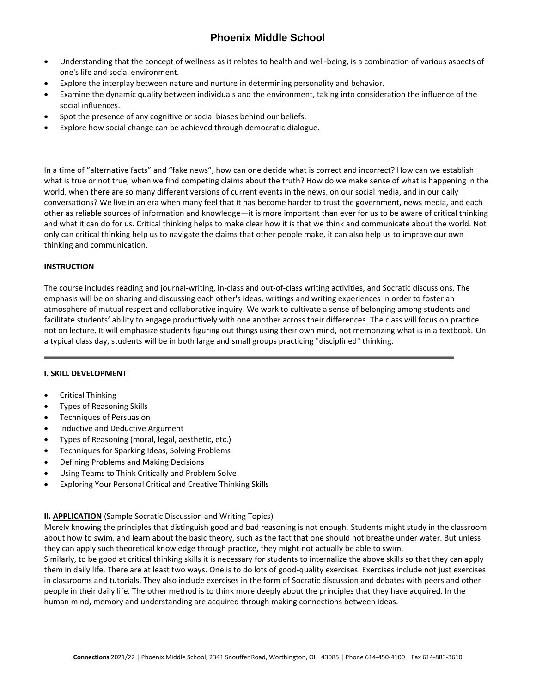# **Phoenix Middle School**

- Understanding that the concept of wellness as it relates to health and well-being, is a combination of various aspects of one's life and social environment.
- Explore the interplay between nature and nurture in determining personality and behavior.
- Examine the dynamic quality between individuals and the environment, taking into consideration the influence of the social influences.
- Spot the presence of any cognitive or social biases behind our beliefs.
- Explore how social change can be achieved through democratic dialogue.

In a time of "alternative facts" and "fake news", how can one decide what is correct and incorrect? How can we establish what is true or not true, when we find competing claims about the truth? How do we make sense of what is happening in the world, when there are so many different versions of current events in the news, on our social media, and in our daily conversations? We live in an era when many feel that it has become harder to trust the government, news media, and each other as reliable sources of information and knowledge—it is more important than ever for us to be aware of critical thinking and what it can do for us. Critical thinking helps to make clear how it is that we think and communicate about the world. Not only can critical thinking help us to navigate the claims that other people make, it can also help us to improve our own thinking and communication.

## **INSTRUCTION**

The course includes reading and journal-writing, in-class and out-of-class writing activities, and Socratic discussions. The emphasis will be on sharing and discussing each other's ideas, writings and writing experiences in order to foster an atmosphere of mutual respect and collaborative inquiry. We work to cultivate a sense of belonging among students and facilitate students' ability to engage productively with one another across their differences. The class will focus on practice not on lecture. It will emphasize students figuring out things using their own mind, not memorizing what is in a textbook. On a typical class day, students will be in both large and small groups practicing "disciplined" thinking.

## **I. SKILL DEVELOPMENT**

- Critical Thinking
- Types of Reasoning Skills
- Techniques of Persuasion
- Inductive and Deductive Argument
- Types of Reasoning (moral, legal, aesthetic, etc.)
- Techniques for Sparking Ideas, Solving Problems
- Defining Problems and Making Decisions
- Using Teams to Think Critically and Problem Solve
- Exploring Your Personal Critical and Creative Thinking Skills

## **II. APPLICATION** (Sample Socratic Discussion and Writing Topics)

Merely knowing the principles that distinguish good and bad reasoning is not enough. Students might study in the classroom about how to swim, and learn about the basic theory, such as the fact that one should not breathe under water. But unless they can apply such theoretical knowledge through practice, they might not actually be able to swim.

Similarly, to be good at critical thinking skills it is necessary for students to internalize the above skills so that they can apply them in daily life. There are at least two ways. One is to do lots of good-quality exercises. Exercises include not just exercises in classrooms and tutorials. They also include exercises in the form of Socratic discussion and debates with peers and other people in their daily life. The other method is to think more deeply about the principles that they have acquired. In the human mind, memory and understanding are acquired through making connections between ideas.